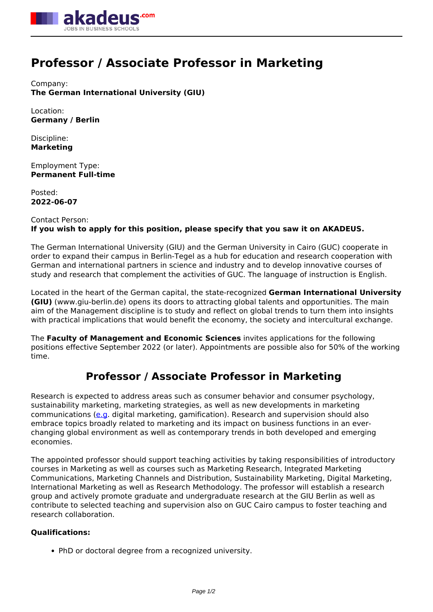

# **Professor / Associate Professor in Marketing**

Company: **The German International University (GIU)**

Location: **Germany / Berlin**

Discipline: **Marketing**

Employment Type: **Permanent Full-time**

Posted: **2022-06-07**

## Contact Person: **If you wish to apply for this position, please specify that you saw it on AKADEUS.**

The German International University (GIU) and the German University in Cairo (GUC) cooperate in order to expand their campus in Berlin-Tegel as a hub for education and research cooperation with German and international partners in science and industry and to develop innovative courses of study and research that complement the activities of GUC. The language of instruction is English.

Located in the heart of the German capital, the state-recognized **German International University (GIU)** (www.giu-berlin.de) opens its doors to attracting global talents and opportunities. The main aim of the Management discipline is to study and reflect on global trends to turn them into insights with practical implications that would benefit the economy, the society and intercultural exchange.

The **Faculty of Management and Economic Sciences** invites applications for the following positions effective September 2022 (or later). Appointments are possible also for 50% of the working time.

## **Professor / Associate Professor in Marketing**

Research is expected to address areas such as consumer behavior and consumer psychology, sustainability marketing, marketing strategies, as well as new developments in marketing communications [\(e.g.](e.g) digital marketing, gamification). Research and supervision should also embrace topics broadly related to marketing and its impact on business functions in an everchanging global environment as well as contemporary trends in both developed and emerging economies.

The appointed professor should support teaching activities by taking responsibilities of introductory courses in Marketing as well as courses such as Marketing Research, Integrated Marketing Communications, Marketing Channels and Distribution, Sustainability Marketing, Digital Marketing, International Marketing as well as Research Methodology. The professor will establish a research group and actively promote graduate and undergraduate research at the GIU Berlin as well as contribute to selected teaching and supervision also on GUC Cairo campus to foster teaching and research collaboration.

### **Qualifications:**

• PhD or doctoral degree from a recognized university.